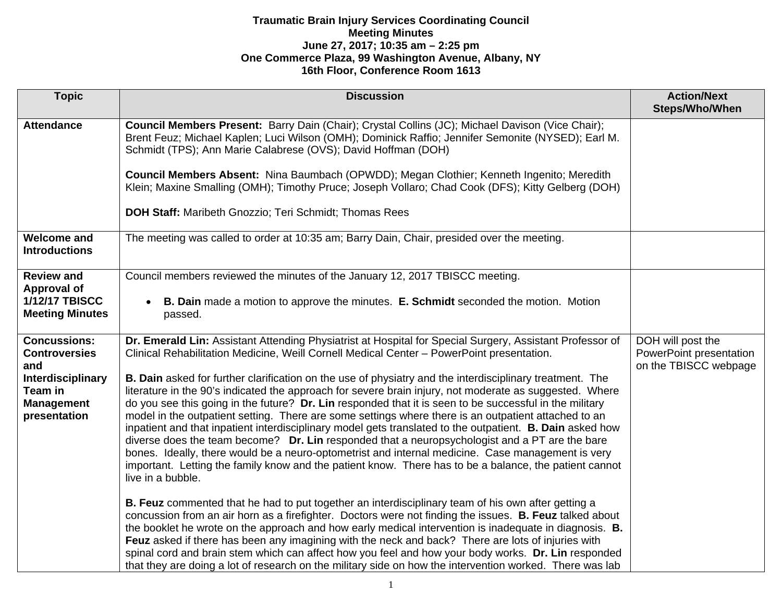| <b>Topic</b>                                                                               | <b>Discussion</b>                                                                                                                                                                                                                                                                                                                                                                                                                                                                                                                                                                                                                                                                                                                                                                                                                                                                                | <b>Action/Next</b><br>Steps/Who/When                                  |
|--------------------------------------------------------------------------------------------|--------------------------------------------------------------------------------------------------------------------------------------------------------------------------------------------------------------------------------------------------------------------------------------------------------------------------------------------------------------------------------------------------------------------------------------------------------------------------------------------------------------------------------------------------------------------------------------------------------------------------------------------------------------------------------------------------------------------------------------------------------------------------------------------------------------------------------------------------------------------------------------------------|-----------------------------------------------------------------------|
|                                                                                            |                                                                                                                                                                                                                                                                                                                                                                                                                                                                                                                                                                                                                                                                                                                                                                                                                                                                                                  |                                                                       |
| <b>Attendance</b>                                                                          | Council Members Present: Barry Dain (Chair); Crystal Collins (JC); Michael Davison (Vice Chair);<br>Brent Feuz; Michael Kaplen; Luci Wilson (OMH); Dominick Raffio; Jennifer Semonite (NYSED); Earl M.<br>Schmidt (TPS); Ann Marie Calabrese (OVS); David Hoffman (DOH)                                                                                                                                                                                                                                                                                                                                                                                                                                                                                                                                                                                                                          |                                                                       |
|                                                                                            | Council Members Absent: Nina Baumbach (OPWDD); Megan Clothier; Kenneth Ingenito; Meredith<br>Klein; Maxine Smalling (OMH); Timothy Pruce; Joseph Vollaro; Chad Cook (DFS); Kitty Gelberg (DOH)                                                                                                                                                                                                                                                                                                                                                                                                                                                                                                                                                                                                                                                                                                   |                                                                       |
|                                                                                            | <b>DOH Staff: Maribeth Gnozzio; Teri Schmidt; Thomas Rees</b>                                                                                                                                                                                                                                                                                                                                                                                                                                                                                                                                                                                                                                                                                                                                                                                                                                    |                                                                       |
| <b>Welcome and</b><br><b>Introductions</b>                                                 | The meeting was called to order at 10:35 am; Barry Dain, Chair, presided over the meeting.                                                                                                                                                                                                                                                                                                                                                                                                                                                                                                                                                                                                                                                                                                                                                                                                       |                                                                       |
| <b>Review and</b><br><b>Approval of</b><br><b>1/12/17 TBISCC</b><br><b>Meeting Minutes</b> | Council members reviewed the minutes of the January 12, 2017 TBISCC meeting.<br><b>B. Dain</b> made a motion to approve the minutes. <b>E. Schmidt</b> seconded the motion. Motion<br>passed.                                                                                                                                                                                                                                                                                                                                                                                                                                                                                                                                                                                                                                                                                                    |                                                                       |
| <b>Concussions:</b><br><b>Controversies</b><br>and                                         | Dr. Emerald Lin: Assistant Attending Physiatrist at Hospital for Special Surgery, Assistant Professor of<br>Clinical Rehabilitation Medicine, Weill Cornell Medical Center - PowerPoint presentation.                                                                                                                                                                                                                                                                                                                                                                                                                                                                                                                                                                                                                                                                                            | DOH will post the<br>PowerPoint presentation<br>on the TBISCC webpage |
| Interdisciplinary<br>Team in<br><b>Management</b><br>presentation                          | B. Dain asked for further clarification on the use of physiatry and the interdisciplinary treatment. The<br>literature in the 90's indicated the approach for severe brain injury, not moderate as suggested. Where<br>do you see this going in the future? Dr. Lin responded that it is seen to be successful in the military<br>model in the outpatient setting. There are some settings where there is an outpatient attached to an<br>inpatient and that inpatient interdisciplinary model gets translated to the outpatient. <b>B. Dain</b> asked how<br>diverse does the team become? Dr. Lin responded that a neuropsychologist and a PT are the bare<br>bones. Ideally, there would be a neuro-optometrist and internal medicine. Case management is very<br>important. Letting the family know and the patient know. There has to be a balance, the patient cannot<br>live in a bubble. |                                                                       |
|                                                                                            | B. Feuz commented that he had to put together an interdisciplinary team of his own after getting a<br>concussion from an air horn as a firefighter. Doctors were not finding the issues. B. Feuz talked about<br>the booklet he wrote on the approach and how early medical intervention is inadequate in diagnosis. <b>B.</b><br>Feuz asked if there has been any imagining with the neck and back? There are lots of injuries with<br>spinal cord and brain stem which can affect how you feel and how your body works. Dr. Lin responded<br>that they are doing a lot of research on the military side on how the intervention worked. There was lab                                                                                                                                                                                                                                          |                                                                       |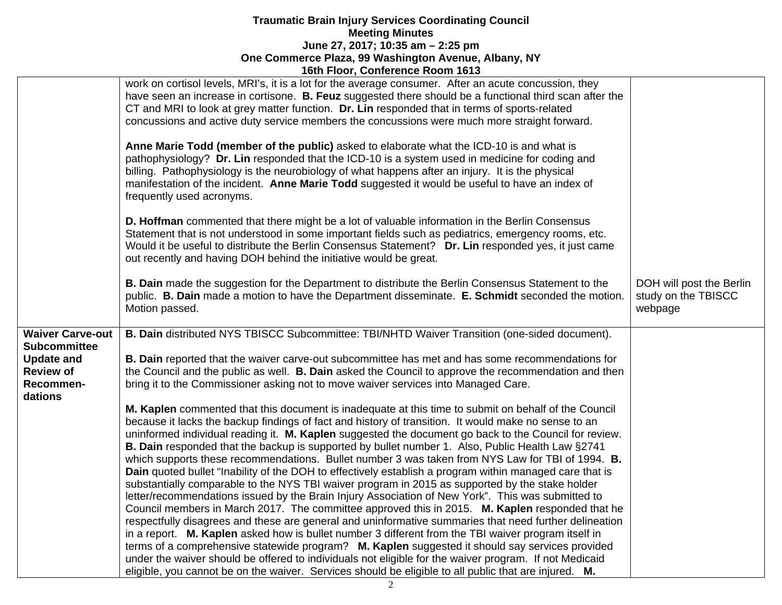|                               | work on cortisol levels, MRI's, it is a lot for the average consumer. After an acute concussion, they<br>have seen an increase in cortisone. B. Feuz suggested there should be a functional third scan after the<br>CT and MRI to look at grey matter function. Dr. Lin responded that in terms of sports-related<br>concussions and active duty service members the concussions were much more straight forward.              |                                                            |
|-------------------------------|--------------------------------------------------------------------------------------------------------------------------------------------------------------------------------------------------------------------------------------------------------------------------------------------------------------------------------------------------------------------------------------------------------------------------------|------------------------------------------------------------|
|                               | Anne Marie Todd (member of the public) asked to elaborate what the ICD-10 is and what is<br>pathophysiology? Dr. Lin responded that the ICD-10 is a system used in medicine for coding and<br>billing. Pathophysiology is the neurobiology of what happens after an injury. It is the physical<br>manifestation of the incident. Anne Marie Todd suggested it would be useful to have an index of<br>frequently used acronyms. |                                                            |
|                               | D. Hoffman commented that there might be a lot of valuable information in the Berlin Consensus<br>Statement that is not understood in some important fields such as pediatrics, emergency rooms, etc.<br>Would it be useful to distribute the Berlin Consensus Statement? Dr. Lin responded yes, it just came<br>out recently and having DOH behind the initiative would be great.                                             |                                                            |
|                               | <b>B. Dain</b> made the suggestion for the Department to distribute the Berlin Consensus Statement to the<br>public. B. Dain made a motion to have the Department disseminate. E. Schmidt seconded the motion.<br>Motion passed.                                                                                                                                                                                               | DOH will post the Berlin<br>study on the TBISCC<br>webpage |
| <b>Waiver Carve-out</b>       | B. Dain distributed NYS TBISCC Subcommittee: TBI/NHTD Waiver Transition (one-sided document).                                                                                                                                                                                                                                                                                                                                  |                                                            |
| <b>Subcommittee</b>           |                                                                                                                                                                                                                                                                                                                                                                                                                                |                                                            |
| <b>Update and</b>             | B. Dain reported that the waiver carve-out subcommittee has met and has some recommendations for                                                                                                                                                                                                                                                                                                                               |                                                            |
| <b>Review of</b><br>Recommen- | the Council and the public as well. B. Dain asked the Council to approve the recommendation and then<br>bring it to the Commissioner asking not to move waiver services into Managed Care.                                                                                                                                                                                                                                     |                                                            |
| dations                       |                                                                                                                                                                                                                                                                                                                                                                                                                                |                                                            |
|                               | M. Kaplen commented that this document is inadequate at this time to submit on behalf of the Council                                                                                                                                                                                                                                                                                                                           |                                                            |
|                               | because it lacks the backup findings of fact and history of transition. It would make no sense to an                                                                                                                                                                                                                                                                                                                           |                                                            |
|                               | uninformed individual reading it. M. Kaplen suggested the document go back to the Council for review.                                                                                                                                                                                                                                                                                                                          |                                                            |
|                               | B. Dain responded that the backup is supported by bullet number 1. Also, Public Health Law §2741<br>which supports these recommendations. Bullet number 3 was taken from NYS Law for TBI of 1994. B.                                                                                                                                                                                                                           |                                                            |
|                               | Dain quoted bullet "Inability of the DOH to effectively establish a program within managed care that is                                                                                                                                                                                                                                                                                                                        |                                                            |
|                               | substantially comparable to the NYS TBI waiver program in 2015 as supported by the stake holder                                                                                                                                                                                                                                                                                                                                |                                                            |
|                               | letter/recommendations issued by the Brain Injury Association of New York". This was submitted to                                                                                                                                                                                                                                                                                                                              |                                                            |
|                               | Council members in March 2017. The committee approved this in 2015. M. Kaplen responded that he                                                                                                                                                                                                                                                                                                                                |                                                            |
|                               | respectfully disagrees and these are general and uninformative summaries that need further delineation<br>in a report. M. Kaplen asked how is bullet number 3 different from the TBI waiver program itself in                                                                                                                                                                                                                  |                                                            |
|                               | terms of a comprehensive statewide program? M. Kaplen suggested it should say services provided                                                                                                                                                                                                                                                                                                                                |                                                            |
|                               | under the waiver should be offered to individuals not eligible for the waiver program. If not Medicaid                                                                                                                                                                                                                                                                                                                         |                                                            |
|                               | eligible, you cannot be on the waiver. Services should be eligible to all public that are injured. M.                                                                                                                                                                                                                                                                                                                          |                                                            |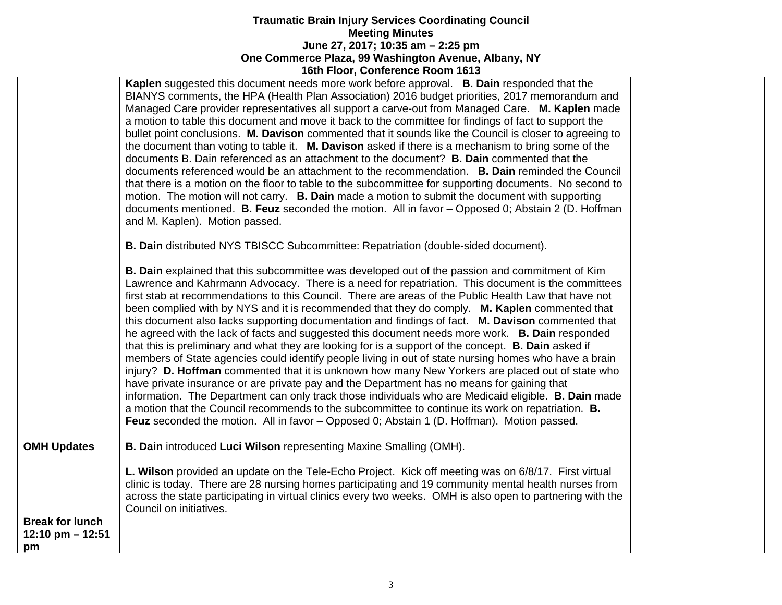|                                                    | Kaplen suggested this document needs more work before approval. B. Dain responded that the<br>BIANYS comments, the HPA (Health Plan Association) 2016 budget priorities, 2017 memorandum and<br>Managed Care provider representatives all support a carve-out from Managed Care. M. Kaplen made<br>a motion to table this document and move it back to the committee for findings of fact to support the<br>bullet point conclusions. M. Davison commented that it sounds like the Council is closer to agreeing to<br>the document than voting to table it. M. Davison asked if there is a mechanism to bring some of the<br>documents B. Dain referenced as an attachment to the document? <b>B. Dain</b> commented that the<br>documents referenced would be an attachment to the recommendation. B. Dain reminded the Council<br>that there is a motion on the floor to table to the subcommittee for supporting documents. No second to<br>motion. The motion will not carry. <b>B. Dain</b> made a motion to submit the document with supporting<br>documents mentioned. B. Feuz seconded the motion. All in favor - Opposed 0; Abstain 2 (D. Hoffman<br>and M. Kaplen). Motion passed.                                                                                                                                                                                    |  |
|----------------------------------------------------|----------------------------------------------------------------------------------------------------------------------------------------------------------------------------------------------------------------------------------------------------------------------------------------------------------------------------------------------------------------------------------------------------------------------------------------------------------------------------------------------------------------------------------------------------------------------------------------------------------------------------------------------------------------------------------------------------------------------------------------------------------------------------------------------------------------------------------------------------------------------------------------------------------------------------------------------------------------------------------------------------------------------------------------------------------------------------------------------------------------------------------------------------------------------------------------------------------------------------------------------------------------------------------------------------------------------------------------------------------------------------------|--|
|                                                    | B. Dain distributed NYS TBISCC Subcommittee: Repatriation (double-sided document).                                                                                                                                                                                                                                                                                                                                                                                                                                                                                                                                                                                                                                                                                                                                                                                                                                                                                                                                                                                                                                                                                                                                                                                                                                                                                               |  |
|                                                    | <b>B. Dain</b> explained that this subcommittee was developed out of the passion and commitment of Kim<br>Lawrence and Kahrmann Advocacy. There is a need for repatriation. This document is the committees<br>first stab at recommendations to this Council. There are areas of the Public Health Law that have not<br>been complied with by NYS and it is recommended that they do comply. M. Kaplen commented that<br>this document also lacks supporting documentation and findings of fact. M. Davison commented that<br>he agreed with the lack of facts and suggested this document needs more work. <b>B. Dain</b> responded<br>that this is preliminary and what they are looking for is a support of the concept. <b>B. Dain</b> asked if<br>members of State agencies could identify people living in out of state nursing homes who have a brain<br>injury? D. Hoffman commented that it is unknown how many New Yorkers are placed out of state who<br>have private insurance or are private pay and the Department has no means for gaining that<br>information. The Department can only track those individuals who are Medicaid eligible. B. Dain made<br>a motion that the Council recommends to the subcommittee to continue its work on repatriation. <b>B.</b><br>Feuz seconded the motion. All in favor – Opposed 0; Abstain 1 (D. Hoffman). Motion passed. |  |
| <b>OMH Updates</b>                                 | B. Dain introduced Luci Wilson representing Maxine Smalling (OMH).                                                                                                                                                                                                                                                                                                                                                                                                                                                                                                                                                                                                                                                                                                                                                                                                                                                                                                                                                                                                                                                                                                                                                                                                                                                                                                               |  |
|                                                    | L. Wilson provided an update on the Tele-Echo Project. Kick off meeting was on 6/8/17. First virtual<br>clinic is today. There are 28 nursing homes participating and 19 community mental health nurses from<br>across the state participating in virtual clinics every two weeks. OMH is also open to partnering with the<br>Council on initiatives.                                                                                                                                                                                                                                                                                                                                                                                                                                                                                                                                                                                                                                                                                                                                                                                                                                                                                                                                                                                                                            |  |
| <b>Break for lunch</b><br>12:10 pm $-$ 12:51<br>pm |                                                                                                                                                                                                                                                                                                                                                                                                                                                                                                                                                                                                                                                                                                                                                                                                                                                                                                                                                                                                                                                                                                                                                                                                                                                                                                                                                                                  |  |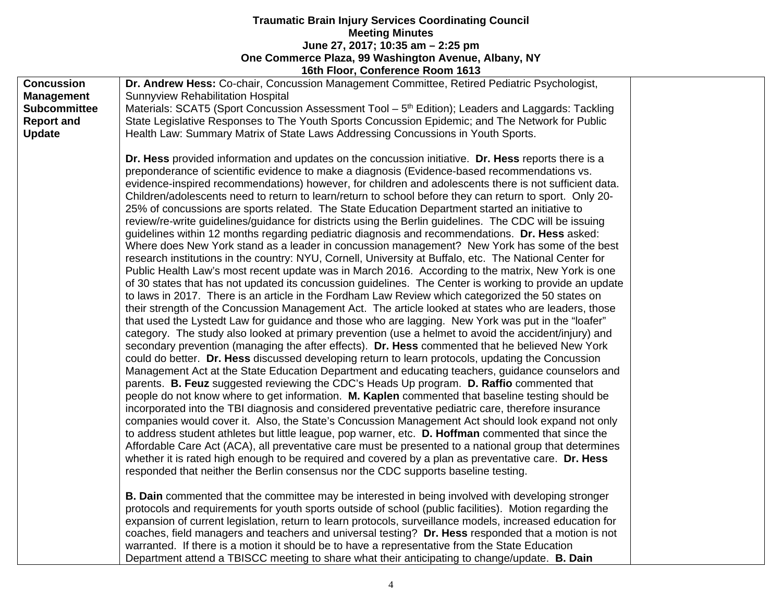|                     | <b>10th Floor, Connerence Room 1013</b>                                                                       |  |
|---------------------|---------------------------------------------------------------------------------------------------------------|--|
| <b>Concussion</b>   | Dr. Andrew Hess: Co-chair, Concussion Management Committee, Retired Pediatric Psychologist,                   |  |
| <b>Management</b>   | <b>Sunnyview Rehabilitation Hospital</b>                                                                      |  |
| <b>Subcommittee</b> | Materials: SCAT5 (Sport Concussion Assessment Tool – 5 <sup>th</sup> Edition); Leaders and Laggards: Tackling |  |
| <b>Report and</b>   | State Legislative Responses to The Youth Sports Concussion Epidemic; and The Network for Public               |  |
| <b>Update</b>       | Health Law: Summary Matrix of State Laws Addressing Concussions in Youth Sports.                              |  |
|                     |                                                                                                               |  |
|                     | Dr. Hess provided information and updates on the concussion initiative. Dr. Hess reports there is a           |  |
|                     | preponderance of scientific evidence to make a diagnosis (Evidence-based recommendations vs.                  |  |
|                     | evidence-inspired recommendations) however, for children and adolescents there is not sufficient data.        |  |
|                     | Children/adolescents need to return to learn/return to school before they can return to sport. Only 20-       |  |
|                     | 25% of concussions are sports related. The State Education Department started an initiative to                |  |
|                     | review/re-write guidelines/guidance for districts using the Berlin guidelines. The CDC will be issuing        |  |
|                     | guidelines within 12 months regarding pediatric diagnosis and recommendations. Dr. Hess asked:                |  |
|                     | Where does New York stand as a leader in concussion management? New York has some of the best                 |  |
|                     | research institutions in the country: NYU, Cornell, University at Buffalo, etc. The National Center for       |  |
|                     | Public Health Law's most recent update was in March 2016. According to the matrix, New York is one            |  |
|                     | of 30 states that has not updated its concussion guidelines. The Center is working to provide an update       |  |
|                     | to laws in 2017. There is an article in the Fordham Law Review which categorized the 50 states on             |  |
|                     | their strength of the Concussion Management Act. The article looked at states who are leaders, those          |  |
|                     | that used the Lystedt Law for guidance and those who are lagging. New York was put in the "loafer"            |  |
|                     | category. The study also looked at primary prevention (use a helmet to avoid the accident/injury) and         |  |
|                     | secondary prevention (managing the after effects). Dr. Hess commented that he believed New York               |  |
|                     | could do better. Dr. Hess discussed developing return to learn protocols, updating the Concussion             |  |
|                     | Management Act at the State Education Department and educating teachers, guidance counselors and              |  |
|                     | parents. B. Feuz suggested reviewing the CDC's Heads Up program. D. Raffio commented that                     |  |
|                     | people do not know where to get information. M. Kaplen commented that baseline testing should be              |  |
|                     | incorporated into the TBI diagnosis and considered preventative pediatric care, therefore insurance           |  |
|                     | companies would cover it. Also, the State's Concussion Management Act should look expand not only             |  |
|                     | to address student athletes but little league, pop warner, etc. D. Hoffman commented that since the           |  |
|                     | Affordable Care Act (ACA), all preventative care must be presented to a national group that determines        |  |
|                     | whether it is rated high enough to be required and covered by a plan as preventative care. Dr. Hess           |  |
|                     | responded that neither the Berlin consensus nor the CDC supports baseline testing.                            |  |
|                     |                                                                                                               |  |
|                     | <b>B. Dain</b> commented that the committee may be interested in being involved with developing stronger      |  |
|                     | protocols and requirements for youth sports outside of school (public facilities). Motion regarding the       |  |
|                     | expansion of current legislation, return to learn protocols, surveillance models, increased education for     |  |
|                     | coaches, field managers and teachers and universal testing? Dr. Hess responded that a motion is not           |  |
|                     | warranted. If there is a motion it should be to have a representative from the State Education                |  |
|                     | Department attend a TBISCC meeting to share what their anticipating to change/update. <b>B. Dain</b>          |  |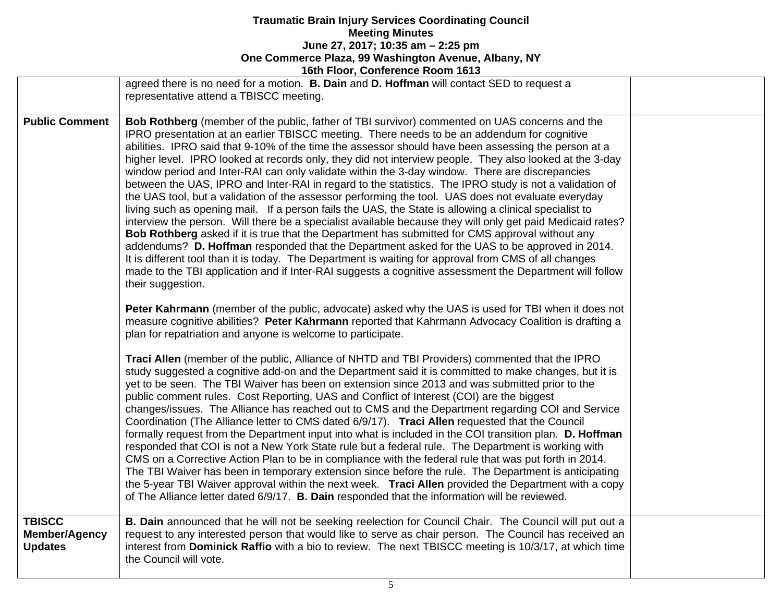|                                        | <b>POLITIOUR, CONTEIGNCE NOONE TOTS</b>                                                                                                                                                                                                                                                                                                                                                                                                                                                                                                                                                                                                                                                                                                                                                                                                                                                                                                                                                                                                                                                                                                                                                                                                                                                                                                                                                                                                                                                                                                                                                                                                      |  |
|----------------------------------------|----------------------------------------------------------------------------------------------------------------------------------------------------------------------------------------------------------------------------------------------------------------------------------------------------------------------------------------------------------------------------------------------------------------------------------------------------------------------------------------------------------------------------------------------------------------------------------------------------------------------------------------------------------------------------------------------------------------------------------------------------------------------------------------------------------------------------------------------------------------------------------------------------------------------------------------------------------------------------------------------------------------------------------------------------------------------------------------------------------------------------------------------------------------------------------------------------------------------------------------------------------------------------------------------------------------------------------------------------------------------------------------------------------------------------------------------------------------------------------------------------------------------------------------------------------------------------------------------------------------------------------------------|--|
|                                        | agreed there is no need for a motion. <b>B. Dain</b> and <b>D. Hoffman</b> will contact SED to request a<br>representative attend a TBISCC meeting.                                                                                                                                                                                                                                                                                                                                                                                                                                                                                                                                                                                                                                                                                                                                                                                                                                                                                                                                                                                                                                                                                                                                                                                                                                                                                                                                                                                                                                                                                          |  |
| <b>Public Comment</b>                  | Bob Rothberg (member of the public, father of TBI survivor) commented on UAS concerns and the<br>IPRO presentation at an earlier TBISCC meeting. There needs to be an addendum for cognitive<br>abilities. IPRO said that 9-10% of the time the assessor should have been assessing the person at a<br>higher level. IPRO looked at records only, they did not interview people. They also looked at the 3-day<br>window period and Inter-RAI can only validate within the 3-day window. There are discrepancies<br>between the UAS, IPRO and Inter-RAI in regard to the statistics. The IPRO study is not a validation of<br>the UAS tool, but a validation of the assessor performing the tool. UAS does not evaluate everyday<br>living such as opening mail. If a person fails the UAS, the State is allowing a clinical specialist to<br>interview the person. Will there be a specialist available because they will only get paid Medicaid rates?<br>Bob Rothberg asked if it is true that the Department has submitted for CMS approval without any<br>addendums? D. Hoffman responded that the Department asked for the UAS to be approved in 2014.<br>It is different tool than it is today. The Department is waiting for approval from CMS of all changes<br>made to the TBI application and if Inter-RAI suggests a cognitive assessment the Department will follow<br>their suggestion.                                                                                                                                                                                                                                        |  |
| <b>TBISCC</b>                          | Peter Kahrmann (member of the public, advocate) asked why the UAS is used for TBI when it does not<br>measure cognitive abilities? Peter Kahrmann reported that Kahrmann Advocacy Coalition is drafting a<br>plan for repatriation and anyone is welcome to participate.<br>Traci Allen (member of the public, Alliance of NHTD and TBI Providers) commented that the IPRO<br>study suggested a cognitive add-on and the Department said it is committed to make changes, but it is<br>yet to be seen. The TBI Waiver has been on extension since 2013 and was submitted prior to the<br>public comment rules. Cost Reporting, UAS and Conflict of Interest (COI) are the biggest<br>changes/issues. The Alliance has reached out to CMS and the Department regarding COI and Service<br>Coordination (The Alliance letter to CMS dated 6/9/17). Traci Allen requested that the Council<br>formally request from the Department input into what is included in the COI transition plan. D. Hoffman<br>responded that COI is not a New York State rule but a federal rule. The Department is working with<br>CMS on a Corrective Action Plan to be in compliance with the federal rule that was put forth in 2014.<br>The TBI Waiver has been in temporary extension since before the rule. The Department is anticipating<br>the 5-year TBI Waiver approval within the next week. Traci Allen provided the Department with a copy<br>of The Alliance letter dated 6/9/17. B. Dain responded that the information will be reviewed.<br>B. Dain announced that he will not be seeking reelection for Council Chair. The Council will put out a |  |
| <b>Member/Agency</b><br><b>Updates</b> | request to any interested person that would like to serve as chair person. The Council has received an<br>interest from Dominick Raffio with a bio to review. The next TBISCC meeting is 10/3/17, at which time<br>the Council will vote.                                                                                                                                                                                                                                                                                                                                                                                                                                                                                                                                                                                                                                                                                                                                                                                                                                                                                                                                                                                                                                                                                                                                                                                                                                                                                                                                                                                                    |  |